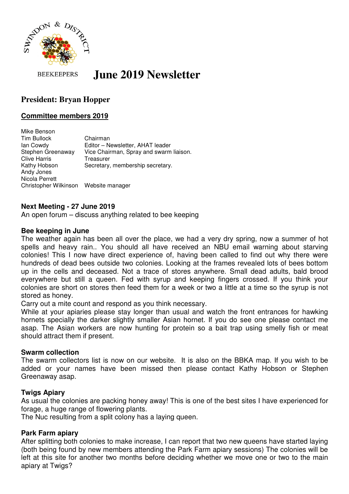

**BEEKEEPERS** 

# **June 2019 Newsletter**

# **President: Bryan Hopper**

## **Committee members 2019**

Mike Benson Tim Bullock Chairman Ian Cowdy<br>Stephen Greenaway Vice Chairman, Spray and swarm Vice Chairman, Spray and swarm liaison. Clive Harris Treasurer Kathy Hobson Secretary, membership secretary. Andy Jones Nicola Perrett Christopher Wilkinson Website manager

#### **Next Meeting - 27 June 2019**

An open forum – discuss anything related to bee keeping

#### **Bee keeping in June**

The weather again has been all over the place, we had a very dry spring, now a summer of hot spells and heavy rain.. You should all have received an NBU email warning about starving colonies! This I now have direct experience of, having been called to find out why there were hundreds of dead bees outside two colonies. Looking at the frames revealed lots of bees bottom up in the cells and deceased. Not a trace of stores anywhere. Small dead adults, bald brood everywhere but still a queen. Fed with syrup and keeping fingers crossed. If you think your colonies are short on stores then feed them for a week or two a little at a time so the syrup is not stored as honey.

Carry out a mite count and respond as you think necessary.

While at your apiaries please stay longer than usual and watch the front entrances for hawking hornets specially the darker slightly smaller Asian hornet. If you do see one please contact me asap. The Asian workers are now hunting for protein so a bait trap using smelly fish or meat should attract them if present.

#### **Swarm collection**

The swarm collectors list is now on our website. It is also on the BBKA map. If you wish to be added or your names have been missed then please contact Kathy Hobson or Stephen Greenaway asap.

### **Twigs Apiary**

As usual the colonies are packing honey away! This is one of the best sites I have experienced for forage, a huge range of flowering plants.

The Nuc resulting from a split colony has a laying queen.

### **Park Farm apiary**

After splitting both colonies to make increase, I can report that two new queens have started laying (both being found by new members attending the Park Farm apiary sessions) The colonies will be left at this site for another two months before deciding whether we move one or two to the main apiary at Twigs?